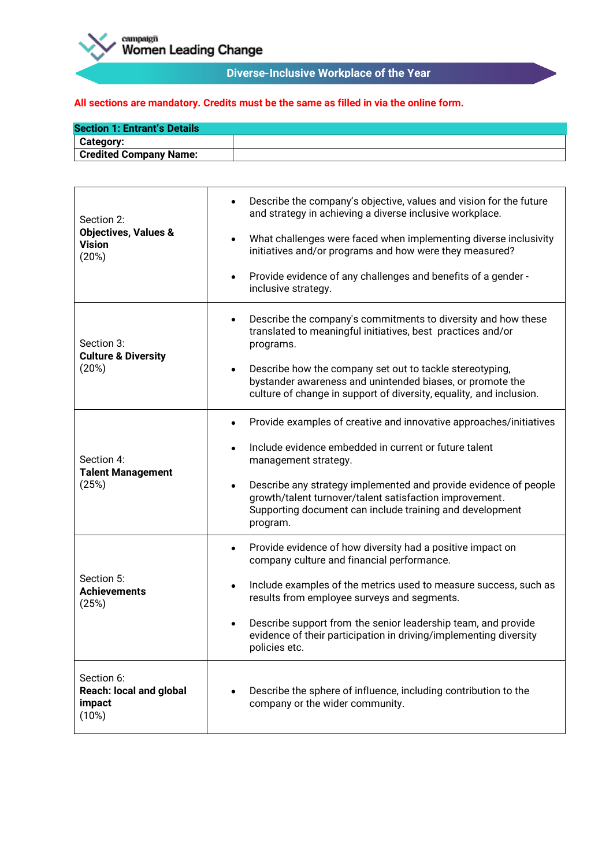

# **Diverse-Inclusive Workplace of the Year**

| <b>Section 1: Entrant's Details</b> |  |
|-------------------------------------|--|
| <b>Category:</b>                    |  |
| <b>Credited Company Name:</b>       |  |

| Section 2:<br><b>Objectives, Values &amp;</b><br><b>Vision</b><br>(20%) | Describe the company's objective, values and vision for the future<br>$\bullet$<br>and strategy in achieving a diverse inclusive workplace.<br>What challenges were faced when implementing diverse inclusivity<br>$\bullet$<br>initiatives and/or programs and how were they measured?<br>Provide evidence of any challenges and benefits of a gender -<br>٠<br>inclusive strategy.                              |
|-------------------------------------------------------------------------|-------------------------------------------------------------------------------------------------------------------------------------------------------------------------------------------------------------------------------------------------------------------------------------------------------------------------------------------------------------------------------------------------------------------|
| Section 3:<br><b>Culture &amp; Diversity</b><br>(20%)                   | Describe the company's commitments to diversity and how these<br>٠<br>translated to meaningful initiatives, best practices and/or<br>programs.<br>Describe how the company set out to tackle stereotyping,<br>$\bullet$<br>bystander awareness and unintended biases, or promote the<br>culture of change in support of diversity, equality, and inclusion.                                                       |
| Section 4:<br><b>Talent Management</b><br>(25%)                         | Provide examples of creative and innovative approaches/initiatives<br>Include evidence embedded in current or future talent<br>management strategy.<br>Describe any strategy implemented and provide evidence of people<br>$\bullet$<br>growth/talent turnover/talent satisfaction improvement.<br>Supporting document can include training and development<br>program.                                           |
| Section 5:<br><b>Achievements</b><br>(25%)                              | Provide evidence of how diversity had a positive impact on<br>٠<br>company culture and financial performance.<br>Include examples of the metrics used to measure success, such as<br>$\bullet$<br>results from employee surveys and segments.<br>Describe support from the senior leadership team, and provide<br>$\bullet$<br>evidence of their participation in driving/implementing diversity<br>policies etc. |
| Section 6:<br><b>Reach: local and global</b><br>impact<br>(10%)         | Describe the sphere of influence, including contribution to the<br>company or the wider community.                                                                                                                                                                                                                                                                                                                |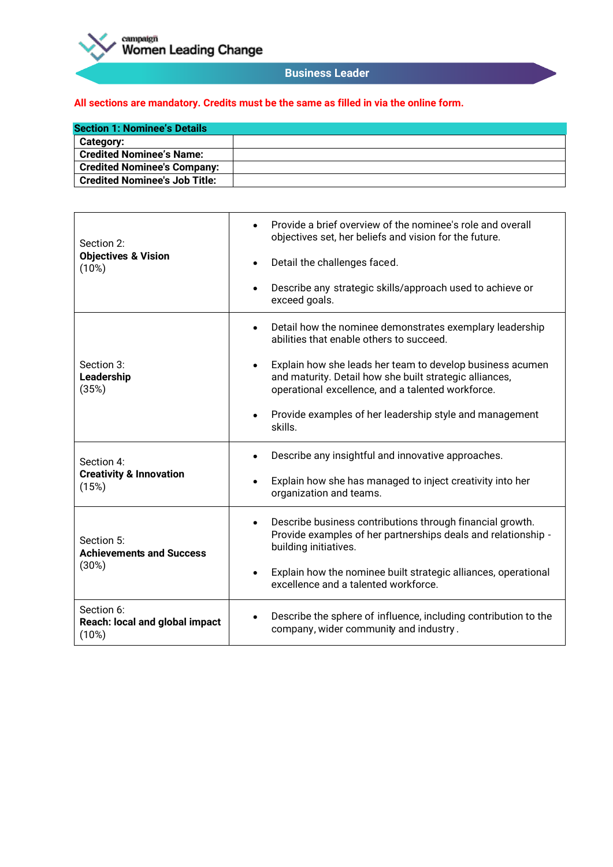

#### **Business Leader**

| <b>Section 1: Nominee's Details</b>  |  |
|--------------------------------------|--|
| <b>Category:</b>                     |  |
| <b>Credited Nominee's Name:</b>      |  |
| <b>Credited Nominee's Company:</b>   |  |
| <b>Credited Nominee's Job Title:</b> |  |

| Section 2:                                                | Provide a brief overview of the nominee's role and overall<br>$\bullet$<br>objectives set, her beliefs and vision for the future.                                                      |
|-----------------------------------------------------------|----------------------------------------------------------------------------------------------------------------------------------------------------------------------------------------|
| <b>Objectives &amp; Vision</b><br>(10%)                   | Detail the challenges faced.<br>$\bullet$                                                                                                                                              |
|                                                           | Describe any strategic skills/approach used to achieve or<br>$\bullet$<br>exceed goals.                                                                                                |
|                                                           | Detail how the nominee demonstrates exemplary leadership<br>$\bullet$<br>abilities that enable others to succeed.                                                                      |
| Section 3:<br>Leadership<br>(35%)                         | Explain how she leads her team to develop business acumen<br>$\bullet$<br>and maturity. Detail how she built strategic alliances,<br>operational excellence, and a talented workforce. |
|                                                           | Provide examples of her leadership style and management<br>$\bullet$<br>skills.                                                                                                        |
| Section 4:<br><b>Creativity &amp; Innovation</b><br>(15%) | Describe any insightful and innovative approaches.<br>$\bullet$                                                                                                                        |
|                                                           | Explain how she has managed to inject creativity into her<br>$\bullet$<br>organization and teams.                                                                                      |
| Section 5:<br><b>Achievements and Success</b><br>(30%)    | Describe business contributions through financial growth.<br>$\bullet$<br>Provide examples of her partnerships deals and relationship -<br>building initiatives.                       |
|                                                           | Explain how the nominee built strategic alliances, operational<br>$\bullet$<br>excellence and a talented workforce.                                                                    |
| Section 6:<br>Reach: local and global impact<br>(10%)     | Describe the sphere of influence, including contribution to the<br>company, wider community and industry.                                                                              |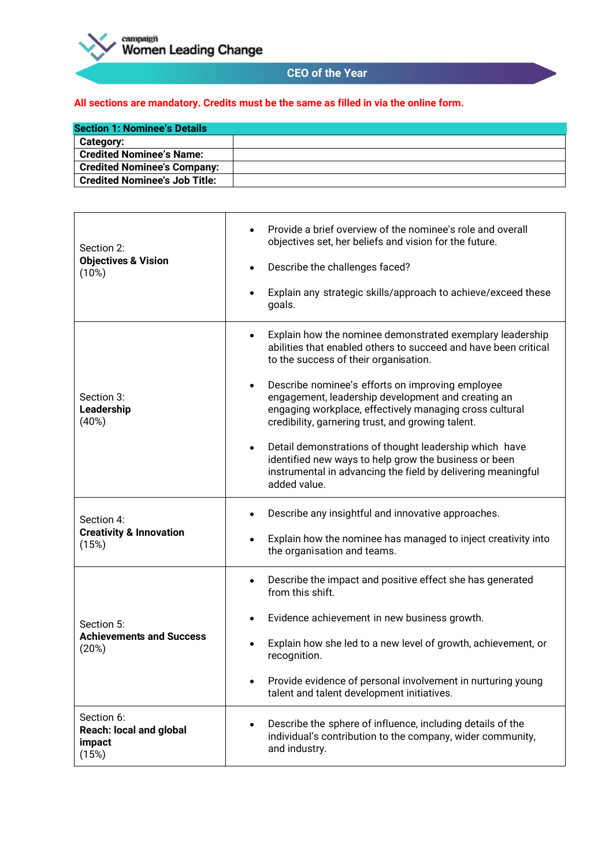

# **CEO of the Year**

| <b>Section 1: Nominee's Details</b>  |  |
|--------------------------------------|--|
| <b>Category:</b>                     |  |
| <b>Credited Nominee's Name:</b>      |  |
| <b>Credited Nominee's Company:</b>   |  |
| <b>Credited Nominee's Job Title:</b> |  |

| Section 2:<br><b>Objectives &amp; Vision</b><br>(10%)           | Provide a brief overview of the nominee's role and overall<br>objectives set, her beliefs and vision for the future.<br>Describe the challenges faced?<br>$\bullet$<br>Explain any strategic skills/approach to achieve/exceed these<br>goals.                                                                                                                                                                                                                                                                                                                                                                               |
|-----------------------------------------------------------------|------------------------------------------------------------------------------------------------------------------------------------------------------------------------------------------------------------------------------------------------------------------------------------------------------------------------------------------------------------------------------------------------------------------------------------------------------------------------------------------------------------------------------------------------------------------------------------------------------------------------------|
| Section 3:<br>Leadership<br>(40%)                               | Explain how the nominee demonstrated exemplary leadership<br>abilities that enabled others to succeed and have been critical<br>to the success of their organisation.<br>Describe nominee's efforts on improving employee<br>$\bullet$<br>engagement, leadership development and creating an<br>engaging workplace, effectively managing cross cultural<br>credibility, garnering trust, and growing talent.<br>Detail demonstrations of thought leadership which have<br>$\bullet$<br>identified new ways to help grow the business or been<br>instrumental in advancing the field by delivering meaningful<br>added value. |
| Section 4:<br><b>Creativity &amp; Innovation</b><br>(15%)       | Describe any insightful and innovative approaches.<br>Explain how the nominee has managed to inject creativity into<br>$\bullet$<br>the organisation and teams.                                                                                                                                                                                                                                                                                                                                                                                                                                                              |
| Section 5:<br><b>Achievements and Success</b><br>(20%)          | Describe the impact and positive effect she has generated<br>from this shift.<br>Evidence achievement in new business growth.<br>Explain how she led to a new level of growth, achievement, or<br>recognition.<br>Provide evidence of personal involvement in nurturing young<br>٠<br>talent and talent development initiatives.                                                                                                                                                                                                                                                                                             |
| Section 6:<br><b>Reach: local and global</b><br>impact<br>(15%) | Describe the sphere of influence, including details of the<br>٠<br>individual's contribution to the company, wider community,<br>and industry.                                                                                                                                                                                                                                                                                                                                                                                                                                                                               |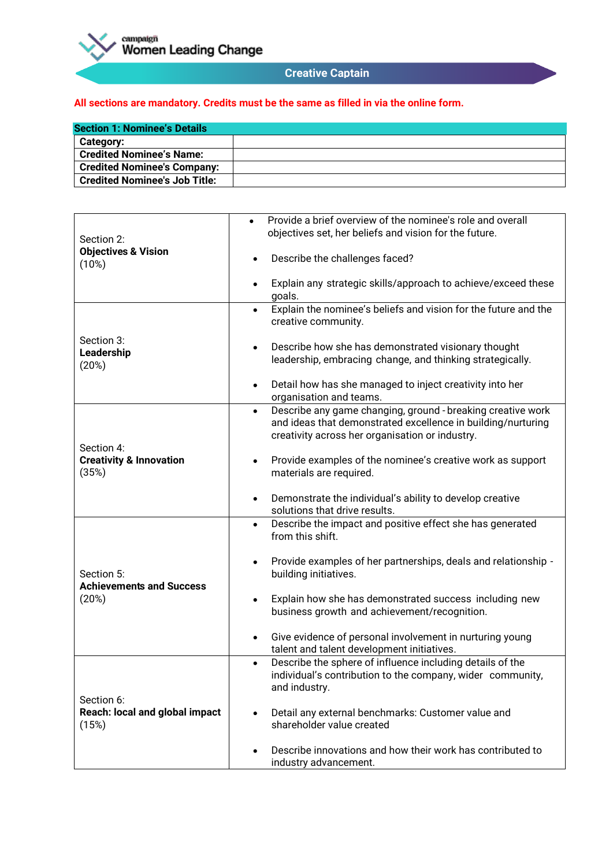

### **Creative Captain**

| <b>Section 1: Nominee's Details</b>  |  |
|--------------------------------------|--|
| Category:                            |  |
| <b>Credited Nominee's Name:</b>      |  |
| <b>Credited Nominee's Company:</b>   |  |
| <b>Credited Nominee's Job Title:</b> |  |

| Section 2:                                                | Provide a brief overview of the nominee's role and overall<br>$\bullet$<br>objectives set, her beliefs and vision for the future.                                                           |
|-----------------------------------------------------------|---------------------------------------------------------------------------------------------------------------------------------------------------------------------------------------------|
| <b>Objectives &amp; Vision</b><br>(10%)                   | Describe the challenges faced?<br>٠                                                                                                                                                         |
|                                                           | Explain any strategic skills/approach to achieve/exceed these<br>$\bullet$<br>goals.                                                                                                        |
|                                                           | Explain the nominee's beliefs and vision for the future and the<br>$\bullet$<br>creative community.                                                                                         |
| Section 3:<br>Leadership<br>(20%)                         | Describe how she has demonstrated visionary thought<br>$\bullet$<br>leadership, embracing change, and thinking strategically.                                                               |
|                                                           | Detail how has she managed to inject creativity into her<br>$\bullet$<br>organisation and teams.                                                                                            |
|                                                           | Describe any game changing, ground - breaking creative work<br>$\bullet$<br>and ideas that demonstrated excellence in building/nurturing<br>creativity across her organisation or industry. |
| Section 4:<br><b>Creativity &amp; Innovation</b><br>(35%) | Provide examples of the nominee's creative work as support<br>$\bullet$<br>materials are required.                                                                                          |
|                                                           | Demonstrate the individual's ability to develop creative<br>$\bullet$<br>solutions that drive results.                                                                                      |
|                                                           | Describe the impact and positive effect she has generated<br>$\bullet$<br>from this shift.                                                                                                  |
| Section 5:<br><b>Achievements and Success</b><br>(20%)    | Provide examples of her partnerships, deals and relationship -<br>$\bullet$<br>building initiatives.                                                                                        |
|                                                           | Explain how she has demonstrated success including new<br>$\bullet$<br>business growth and achievement/recognition.                                                                         |
|                                                           | Give evidence of personal involvement in nurturing young<br>$\bullet$<br>talent and talent development initiatives.                                                                         |
| Section 6:<br>Reach: local and global impact<br>(15%)     | Describe the sphere of influence including details of the<br>$\bullet$<br>individual's contribution to the company, wider community,<br>and industry.                                       |
|                                                           | Detail any external benchmarks: Customer value and<br>$\bullet$<br>shareholder value created                                                                                                |
|                                                           | Describe innovations and how their work has contributed to<br>$\bullet$<br>industry advancement.                                                                                            |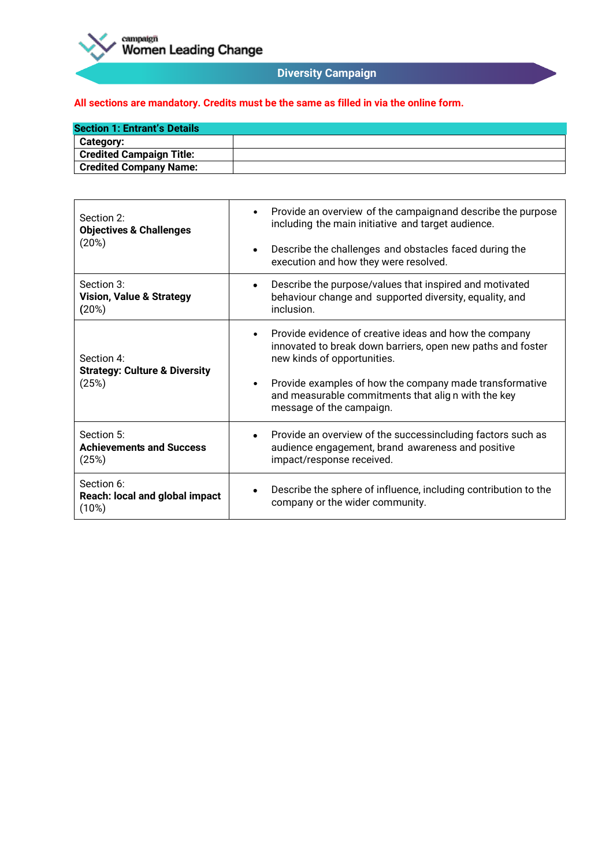

# **Diversity Campaign**

| <b>Section 1: Entrant's Details</b> |  |
|-------------------------------------|--|
| Category:                           |  |
| <b>Credited Campaign Title:</b>     |  |
| <b>Credited Company Name:</b>       |  |

| Section 2:<br><b>Objectives &amp; Challenges</b><br>(20%)       | Provide an overview of the campaignand describe the purpose<br>$\bullet$<br>including the main initiative and target audience.<br>Describe the challenges and obstacles faced during the<br>$\bullet$<br>execution and how they were resolved.                                                                              |
|-----------------------------------------------------------------|-----------------------------------------------------------------------------------------------------------------------------------------------------------------------------------------------------------------------------------------------------------------------------------------------------------------------------|
| Section 3:<br><b>Vision, Value &amp; Strategy</b><br>(20%)      | Describe the purpose/values that inspired and motivated<br>$\bullet$<br>behaviour change and supported diversity, equality, and<br>inclusion.                                                                                                                                                                               |
| Section 4:<br><b>Strategy: Culture &amp; Diversity</b><br>(25%) | Provide evidence of creative ideas and how the company<br>$\bullet$<br>innovated to break down barriers, open new paths and foster<br>new kinds of opportunities.<br>Provide examples of how the company made transformative<br>$\bullet$<br>and measurable commitments that align with the key<br>message of the campaign. |
| Section 5:<br><b>Achievements and Success</b><br>(25%)          | Provide an overview of the successincluding factors such as<br>$\bullet$<br>audience engagement, brand awareness and positive<br>impact/response received.                                                                                                                                                                  |
| Section 6:<br>Reach: local and global impact<br>(10%)           | Describe the sphere of influence, including contribution to the<br>٠<br>company or the wider community.                                                                                                                                                                                                                     |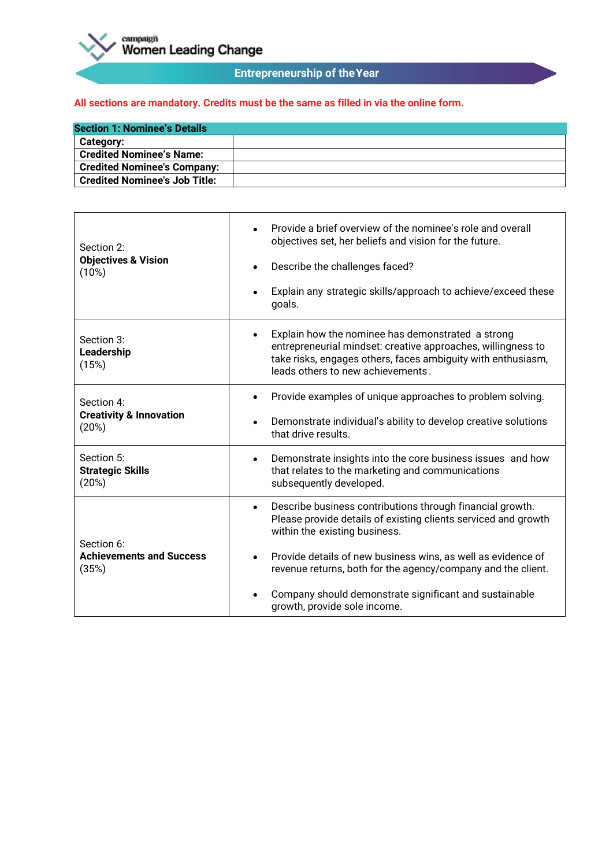

# **Entrepreneurship of theYear**

| <b>Section 1: Nominee's Details</b>  |  |
|--------------------------------------|--|
| <b>Category:</b>                     |  |
| <b>Credited Nominee's Name:</b>      |  |
| <b>Credited Nominee's Company:</b>   |  |
| <b>Credited Nominee's Job Title:</b> |  |

| Section 2:<br><b>Objectives &amp; Vision</b><br>(10%)     | Provide a brief overview of the nominee's role and overall<br>objectives set, her beliefs and vision for the future.<br>Describe the challenges faced?<br>Explain any strategic skills/approach to achieve/exceed these<br>goals.                                                                                                                                                                   |
|-----------------------------------------------------------|-----------------------------------------------------------------------------------------------------------------------------------------------------------------------------------------------------------------------------------------------------------------------------------------------------------------------------------------------------------------------------------------------------|
| Section 3:<br>Leadership<br>(15%)                         | Explain how the nominee has demonstrated a strong<br>entrepreneurial mindset: creative approaches, willingness to<br>take risks, engages others, faces ambiguity with enthusiasm,<br>leads others to new achievements.                                                                                                                                                                              |
| Section 4:<br><b>Creativity &amp; Innovation</b><br>(20%) | Provide examples of unique approaches to problem solving.<br>Demonstrate individual's ability to develop creative solutions<br>$\bullet$<br>that drive results.                                                                                                                                                                                                                                     |
| Section 5:<br><b>Strategic Skills</b><br>(20%)            | Demonstrate insights into the core business issues and how<br>$\bullet$<br>that relates to the marketing and communications<br>subsequently developed.                                                                                                                                                                                                                                              |
| Section 6:<br><b>Achievements and Success</b><br>(35%)    | Describe business contributions through financial growth.<br>$\bullet$<br>Please provide details of existing clients serviced and growth<br>within the existing business.<br>Provide details of new business wins, as well as evidence of<br>revenue returns, both for the agency/company and the client.<br>Company should demonstrate significant and sustainable<br>growth, provide sole income. |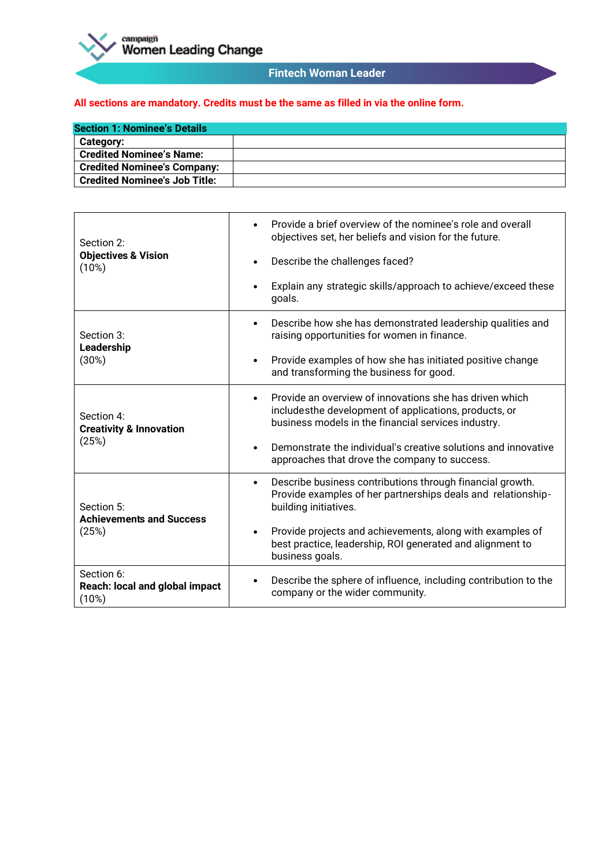

### **Fintech Woman Leader**

| <b>Section 1: Nominee's Details</b>  |  |
|--------------------------------------|--|
| <b>Category:</b>                     |  |
| <b>Credited Nominee's Name:</b>      |  |
| <b>Credited Nominee's Company:</b>   |  |
| <b>Credited Nominee's Job Title:</b> |  |

| Section 2:<br><b>Objectives &amp; Vision</b><br>(10%)     | Provide a brief overview of the nominee's role and overall<br>$\bullet$<br>objectives set, her beliefs and vision for the future.<br>Describe the challenges faced?<br>٠<br>Explain any strategic skills/approach to achieve/exceed these<br>goals.                                                                       |
|-----------------------------------------------------------|---------------------------------------------------------------------------------------------------------------------------------------------------------------------------------------------------------------------------------------------------------------------------------------------------------------------------|
| Section 3:<br>Leadership<br>(30%)                         | Describe how she has demonstrated leadership qualities and<br>$\bullet$<br>raising opportunities for women in finance.<br>Provide examples of how she has initiated positive change<br>٠<br>and transforming the business for good.                                                                                       |
| Section 4:<br><b>Creativity &amp; Innovation</b><br>(25%) | Provide an overview of innovations she has driven which<br>$\bullet$<br>includesthe development of applications, products, or<br>business models in the financial services industry.<br>Demonstrate the individual's creative solutions and innovative<br>$\bullet$<br>approaches that drove the company to success.      |
| Section 5:<br><b>Achievements and Success</b><br>(25%)    | Describe business contributions through financial growth.<br>$\bullet$<br>Provide examples of her partnerships deals and relationship-<br>building initiatives.<br>Provide projects and achievements, along with examples of<br>$\bullet$<br>best practice, leadership, ROI generated and alignment to<br>business goals. |
| Section 6:<br>Reach: local and global impact<br>(10%)     | Describe the sphere of influence, including contribution to the<br>٠<br>company or the wider community.                                                                                                                                                                                                                   |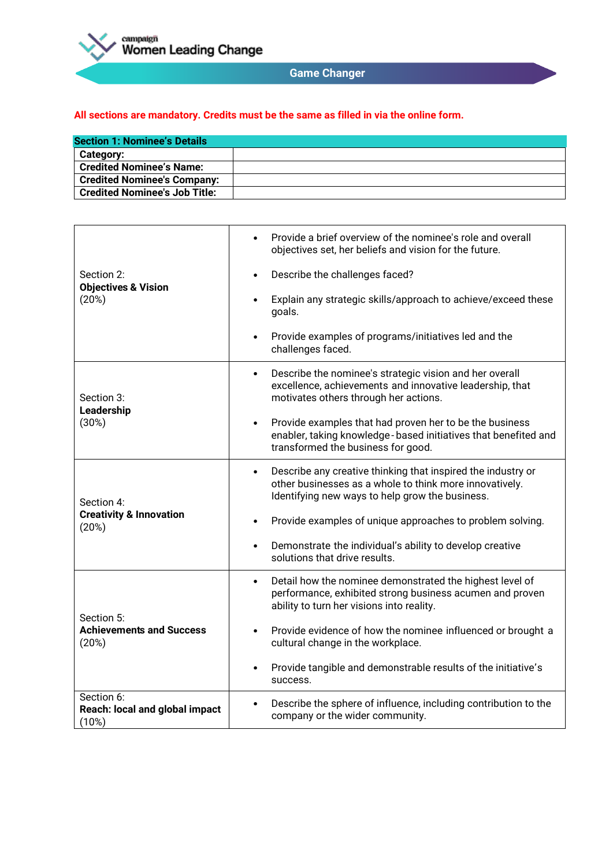

# **Game Changer**

| <b>Section 1: Nominee's Details</b> |  |
|-------------------------------------|--|
| Category:                           |  |
| Credited Nominee's Name:            |  |
| <b>Credited Nominee's Company:</b>  |  |
| Credited Nominee's Job Title:       |  |

| Section 2:<br><b>Objectives &amp; Vision</b><br>(20%)     | Provide a brief overview of the nominee's role and overall<br>$\bullet$<br>objectives set, her beliefs and vision for the future.                                                       |
|-----------------------------------------------------------|-----------------------------------------------------------------------------------------------------------------------------------------------------------------------------------------|
|                                                           | Describe the challenges faced?<br>$\bullet$                                                                                                                                             |
|                                                           | Explain any strategic skills/approach to achieve/exceed these<br>goals.                                                                                                                 |
|                                                           | Provide examples of programs/initiatives led and the<br>$\bullet$<br>challenges faced.                                                                                                  |
| Section 3:<br>Leadership<br>(30%)                         | Describe the nominee's strategic vision and her overall<br>$\bullet$<br>excellence, achievements and innovative leadership, that<br>motivates others through her actions.               |
|                                                           | Provide examples that had proven her to be the business<br>$\bullet$<br>enabler, taking knowledge-based initiatives that benefited and<br>transformed the business for good.            |
| Section 4:<br><b>Creativity &amp; Innovation</b><br>(20%) | Describe any creative thinking that inspired the industry or<br>$\bullet$<br>other businesses as a whole to think more innovatively.<br>Identifying new ways to help grow the business. |
|                                                           | Provide examples of unique approaches to problem solving.                                                                                                                               |
|                                                           | Demonstrate the individual's ability to develop creative<br>٠<br>solutions that drive results.                                                                                          |
| Section 5:<br><b>Achievements and Success</b><br>(20%)    | Detail how the nominee demonstrated the highest level of<br>$\bullet$<br>performance, exhibited strong business acumen and proven<br>ability to turn her visions into reality.          |
|                                                           | Provide evidence of how the nominee influenced or brought a<br>cultural change in the workplace.                                                                                        |
|                                                           | Provide tangible and demonstrable results of the initiative's<br>success.                                                                                                               |
| Section 6:<br>Reach: local and global impact<br>(10%)     | Describe the sphere of influence, including contribution to the<br>company or the wider community.                                                                                      |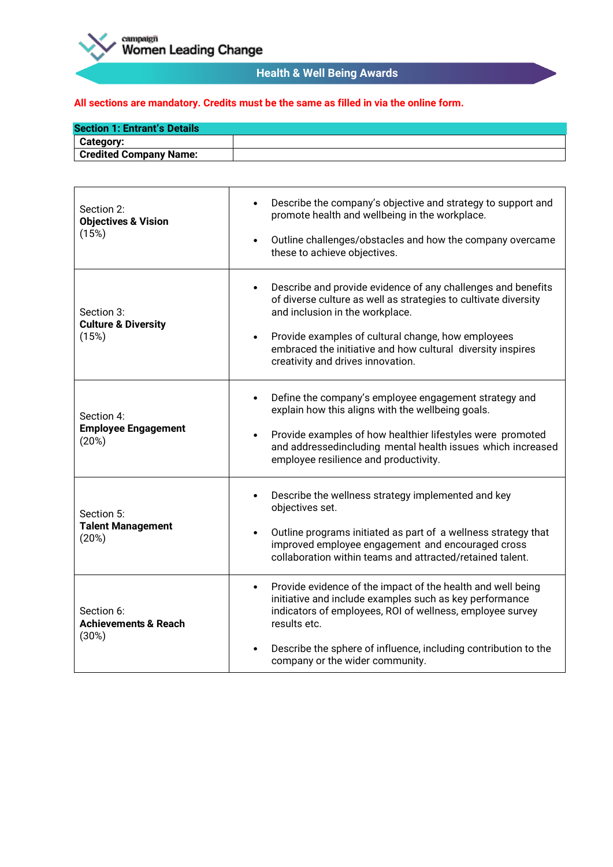

# **Health & Well Being Awards**

| <b>Section 1: Entrant's Details</b> |  |
|-------------------------------------|--|
| <b>Category:</b>                    |  |
| <b>Credited Company Name:</b>       |  |

| Section 2:<br><b>Objectives &amp; Vision</b><br>(15%)  | Describe the company's objective and strategy to support and<br>$\bullet$<br>promote health and wellbeing in the workplace.<br>Outline challenges/obstacles and how the company overcame<br>$\bullet$<br>these to achieve objectives.                                                                                                                  |
|--------------------------------------------------------|--------------------------------------------------------------------------------------------------------------------------------------------------------------------------------------------------------------------------------------------------------------------------------------------------------------------------------------------------------|
| Section 3:<br><b>Culture &amp; Diversity</b><br>(15%)  | Describe and provide evidence of any challenges and benefits<br>$\bullet$<br>of diverse culture as well as strategies to cultivate diversity<br>and inclusion in the workplace.<br>Provide examples of cultural change, how employees<br>$\bullet$<br>embraced the initiative and how cultural diversity inspires<br>creativity and drives innovation. |
| Section 4:<br><b>Employee Engagement</b><br>(20%)      | Define the company's employee engagement strategy and<br>$\bullet$<br>explain how this aligns with the wellbeing goals.<br>Provide examples of how healthier lifestyles were promoted<br>$\bullet$<br>and addressedincluding mental health issues which increased<br>employee resilience and productivity.                                             |
| Section 5:<br><b>Talent Management</b><br>(20%)        | Describe the wellness strategy implemented and key<br>$\bullet$<br>objectives set.<br>Outline programs initiated as part of a wellness strategy that<br>$\bullet$<br>improved employee engagement and encouraged cross<br>collaboration within teams and attracted/retained talent.                                                                    |
| Section 6:<br><b>Achievements &amp; Reach</b><br>(30%) | Provide evidence of the impact of the health and well being<br>$\bullet$<br>initiative and include examples such as key performance<br>indicators of employees, ROI of wellness, employee survey<br>results etc.<br>Describe the sphere of influence, including contribution to the<br>$\bullet$<br>company or the wider community.                    |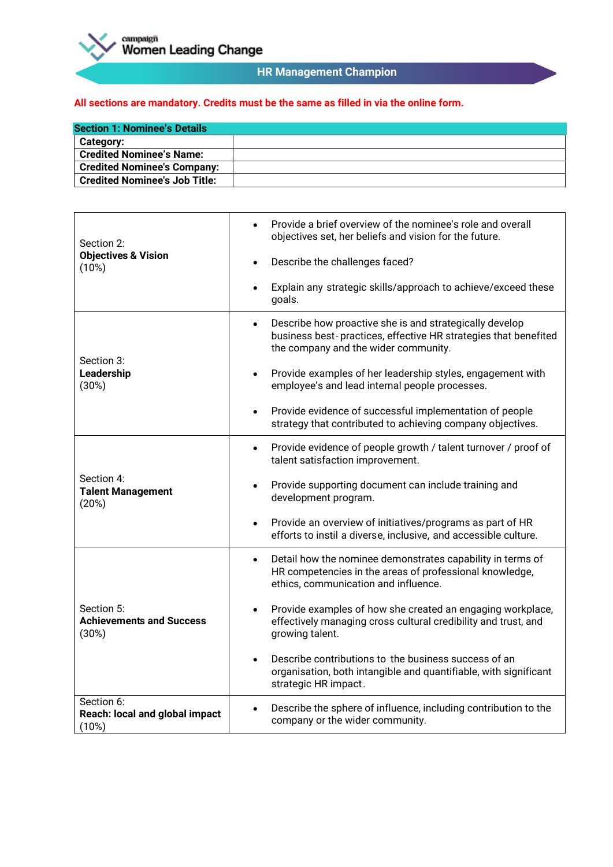

# **HR Management Champion**

| <b>Section 1: Nominee's Details</b>  |  |
|--------------------------------------|--|
| <b>Category:</b>                     |  |
| <b>Credited Nominee's Name:</b>      |  |
| <b>Credited Nominee's Company:</b>   |  |
| <b>Credited Nominee's Job Title:</b> |  |

| Section 2:<br><b>Objectives &amp; Vision</b><br>(10%)  | Provide a brief overview of the nominee's role and overall<br>$\bullet$<br>objectives set, her beliefs and vision for the future.                                               |
|--------------------------------------------------------|---------------------------------------------------------------------------------------------------------------------------------------------------------------------------------|
|                                                        | Describe the challenges faced?<br>$\bullet$                                                                                                                                     |
|                                                        | Explain any strategic skills/approach to achieve/exceed these<br>$\bullet$<br>goals.                                                                                            |
| Section 3:<br>Leadership<br>(30%)                      | Describe how proactive she is and strategically develop<br>$\bullet$<br>business best-practices, effective HR strategies that benefited<br>the company and the wider community. |
|                                                        | Provide examples of her leadership styles, engagement with<br>$\bullet$<br>employee's and lead internal people processes.                                                       |
|                                                        | Provide evidence of successful implementation of people<br>$\bullet$<br>strategy that contributed to achieving company objectives.                                              |
| Section 4:<br><b>Talent Management</b><br>(20%)        | Provide evidence of people growth / talent turnover / proof of<br>$\bullet$<br>talent satisfaction improvement.                                                                 |
|                                                        | Provide supporting document can include training and<br>$\bullet$<br>development program.                                                                                       |
|                                                        | Provide an overview of initiatives/programs as part of HR<br>$\bullet$<br>efforts to instil a diverse, inclusive, and accessible culture.                                       |
| Section 5:<br><b>Achievements and Success</b><br>(30%) | Detail how the nominee demonstrates capability in terms of<br>$\bullet$<br>HR competencies in the areas of professional knowledge,<br>ethics, communication and influence.      |
|                                                        | Provide examples of how she created an engaging workplace,<br>effectively managing cross cultural credibility and trust, and<br>growing talent.                                 |
|                                                        | Describe contributions to the business success of an<br>$\bullet$<br>organisation, both intangible and quantifiable, with significant<br>strategic HR impact.                   |
| Section 6:<br>Reach: local and global impact<br>(10%)  | Describe the sphere of influence, including contribution to the<br>$\bullet$<br>company or the wider community.                                                                 |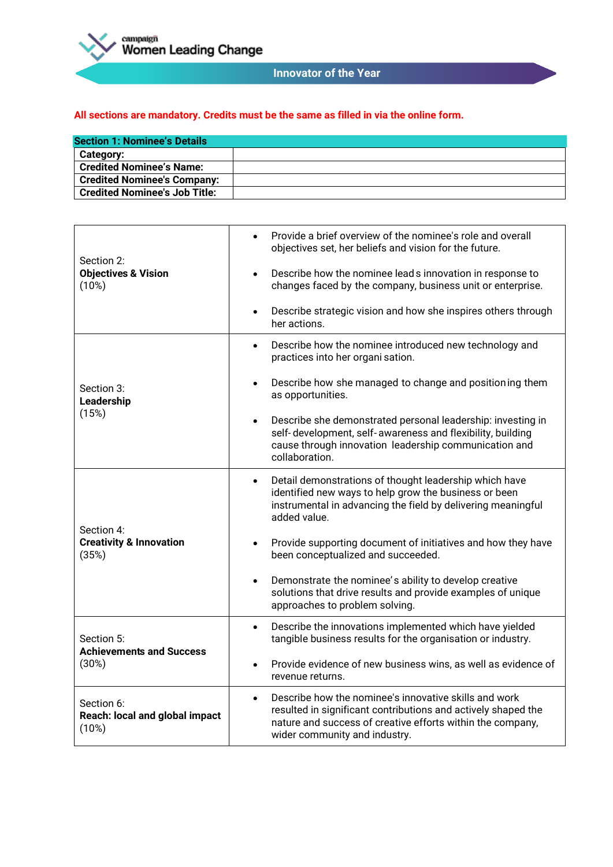

# **Innovator of the Year**

| <b>Section 1: Nominee's Details</b> |  |
|-------------------------------------|--|
| Category:                           |  |
| <b>Credited Nominee's Name:</b>     |  |
| <b>Credited Nominee's Company:</b>  |  |
| Credited Nominee's Job Title:       |  |

| Section 2:<br><b>Objectives &amp; Vision</b><br>(10%)     | Provide a brief overview of the nominee's role and overall<br>$\bullet$<br>objectives set, her beliefs and vision for the future.<br>Describe how the nominee leads innovation in response to<br>$\bullet$<br>changes faced by the company, business unit or enterprise.<br>Describe strategic vision and how she inspires others through<br>$\bullet$<br>her actions. |
|-----------------------------------------------------------|------------------------------------------------------------------------------------------------------------------------------------------------------------------------------------------------------------------------------------------------------------------------------------------------------------------------------------------------------------------------|
| Section 3:<br>Leadership<br>(15%)                         | Describe how the nominee introduced new technology and<br>$\bullet$<br>practices into her organi sation.<br>Describe how she managed to change and positioning them<br>$\bullet$<br>as opportunities.                                                                                                                                                                  |
|                                                           | Describe she demonstrated personal leadership: investing in<br>$\bullet$<br>self-development, self-awareness and flexibility, building<br>cause through innovation leadership communication and<br>collaboration.                                                                                                                                                      |
| Section 4:<br><b>Creativity &amp; Innovation</b><br>(35%) | Detail demonstrations of thought leadership which have<br>$\bullet$<br>identified new ways to help grow the business or been<br>instrumental in advancing the field by delivering meaningful<br>added value.                                                                                                                                                           |
|                                                           | Provide supporting document of initiatives and how they have<br>been conceptualized and succeeded.                                                                                                                                                                                                                                                                     |
|                                                           | Demonstrate the nominee's ability to develop creative<br>$\bullet$<br>solutions that drive results and provide examples of unique<br>approaches to problem solving.                                                                                                                                                                                                    |
| Section 5:<br><b>Achievements and Success</b><br>(30%)    | Describe the innovations implemented which have yielded<br>$\bullet$<br>tangible business results for the organisation or industry.                                                                                                                                                                                                                                    |
|                                                           | Provide evidence of new business wins, as well as evidence of<br>$\bullet$<br>revenue returns.                                                                                                                                                                                                                                                                         |
| Section 6:<br>Reach: local and global impact<br>(10%)     | Describe how the nominee's innovative skills and work<br>$\bullet$<br>resulted in significant contributions and actively shaped the<br>nature and success of creative efforts within the company,<br>wider community and industry.                                                                                                                                     |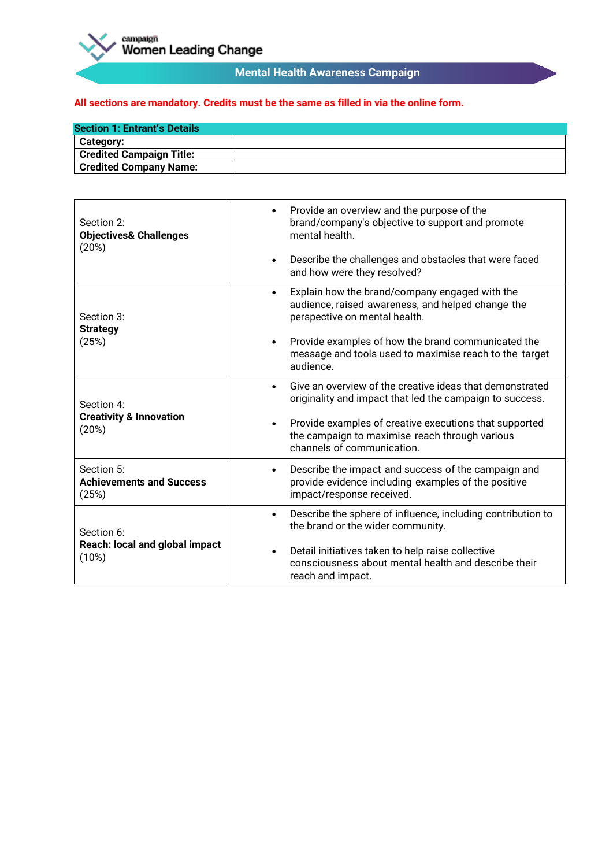

# **Mental Health Awareness Campaign**

| <b>Section 1: Entrant's Details</b> |  |
|-------------------------------------|--|
| <b>Category:</b>                    |  |
| <b>Credited Campaign Title:</b>     |  |
| <b>Credited Company Name:</b>       |  |

| Section 2:<br><b>Objectives&amp; Challenges</b><br>(20%)     | Provide an overview and the purpose of the<br>$\bullet$<br>brand/company's objective to support and promote<br>mental health.<br>Describe the challenges and obstacles that were faced<br>$\bullet$<br>and how were they resolved? |
|--------------------------------------------------------------|------------------------------------------------------------------------------------------------------------------------------------------------------------------------------------------------------------------------------------|
| Section 3:<br><b>Strategy</b><br>(25%)                       | Explain how the brand/company engaged with the<br>$\bullet$<br>audience, raised awareness, and helped change the<br>perspective on mental health.                                                                                  |
|                                                              | Provide examples of how the brand communicated the<br>$\bullet$<br>message and tools used to maximise reach to the target<br>audience.                                                                                             |
| Section 4:<br><b>Creativity &amp; Innovation</b><br>(20%)    | Give an overview of the creative ideas that demonstrated<br>$\bullet$<br>originality and impact that led the campaign to success.                                                                                                  |
|                                                              | Provide examples of creative executions that supported<br>$\bullet$<br>the campaign to maximise reach through various<br>channels of communication.                                                                                |
| Section 5:<br><b>Achievements and Success</b><br>(25%)       | Describe the impact and success of the campaign and<br>$\bullet$<br>provide evidence including examples of the positive<br>impact/response received.                                                                               |
| Section 6:<br><b>Reach: local and global impact</b><br>(10%) | Describe the sphere of influence, including contribution to<br>٠<br>the brand or the wider community.                                                                                                                              |
|                                                              | Detail initiatives taken to help raise collective<br>٠<br>consciousness about mental health and describe their<br>reach and impact.                                                                                                |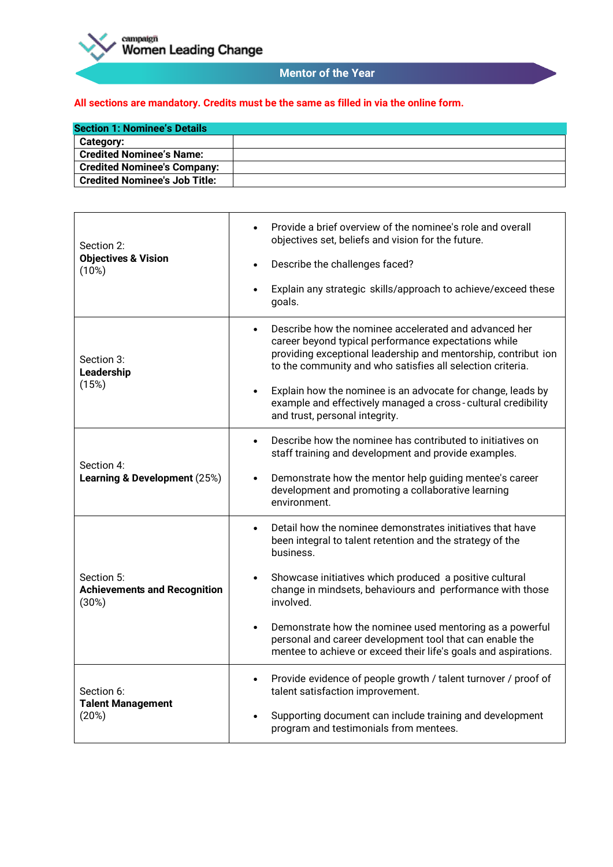

### **Mentor of the Year**

| <b>Section 1: Nominee's Details</b>  |  |
|--------------------------------------|--|
| Category:                            |  |
| <b>Credited Nominee's Name:</b>      |  |
| <b>Credited Nominee's Company:</b>   |  |
| <b>Credited Nominee's Job Title:</b> |  |

| Section 2:<br><b>Objectives &amp; Vision</b><br>(10%)      | Provide a brief overview of the nominee's role and overall<br>$\bullet$<br>objectives set, beliefs and vision for the future.<br>Describe the challenges faced?<br>٠<br>Explain any strategic skills/approach to achieve/exceed these<br>$\bullet$         |
|------------------------------------------------------------|------------------------------------------------------------------------------------------------------------------------------------------------------------------------------------------------------------------------------------------------------------|
|                                                            | goals.                                                                                                                                                                                                                                                     |
| Section 3:<br>Leadership<br>(15%)                          | Describe how the nominee accelerated and advanced her<br>$\bullet$<br>career beyond typical performance expectations while<br>providing exceptional leadership and mentorship, contribut ion<br>to the community and who satisfies all selection criteria. |
|                                                            | Explain how the nominee is an advocate for change, leads by<br>$\bullet$<br>example and effectively managed a cross-cultural credibility<br>and trust, personal integrity.                                                                                 |
|                                                            | Describe how the nominee has contributed to initiatives on<br>$\bullet$<br>staff training and development and provide examples.                                                                                                                            |
| Section 4:<br>Learning & Development (25%)                 | Demonstrate how the mentor help guiding mentee's career<br>$\bullet$<br>development and promoting a collaborative learning<br>environment.                                                                                                                 |
| Section 5:<br><b>Achievements and Recognition</b><br>(30%) | Detail how the nominee demonstrates initiatives that have<br>$\bullet$<br>been integral to talent retention and the strategy of the<br>business.                                                                                                           |
|                                                            | Showcase initiatives which produced a positive cultural<br>$\bullet$<br>change in mindsets, behaviours and performance with those<br>involved.                                                                                                             |
|                                                            | Demonstrate how the nominee used mentoring as a powerful<br>$\bullet$<br>personal and career development tool that can enable the<br>mentee to achieve or exceed their life's goals and aspirations.                                                       |
| Section 6:<br><b>Talent Management</b><br>(20%)            | Provide evidence of people growth / talent turnover / proof of<br>$\bullet$<br>talent satisfaction improvement.                                                                                                                                            |
|                                                            | Supporting document can include training and development<br>program and testimonials from mentees.                                                                                                                                                         |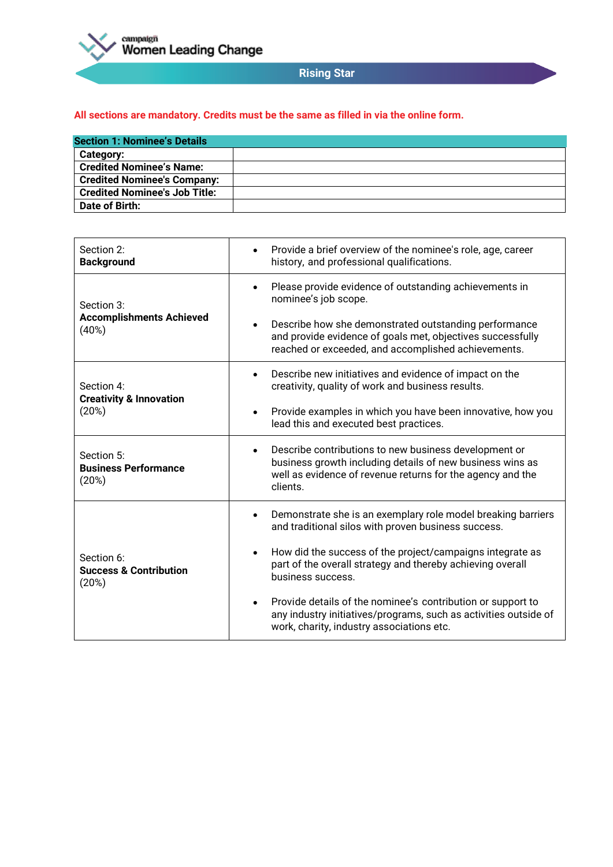

# **Rising Star**

| <b>Section 1: Nominee's Details</b>  |  |
|--------------------------------------|--|
| Category:                            |  |
| <b>Credited Nominee's Name:</b>      |  |
| <b>Credited Nominee's Company:</b>   |  |
| <b>Credited Nominee's Job Title:</b> |  |
| Date of Birth:                       |  |

| Section 2:<br><b>Background</b>                          | Provide a brief overview of the nominee's role, age, career<br>history, and professional qualifications.                                                                                                  |
|----------------------------------------------------------|-----------------------------------------------------------------------------------------------------------------------------------------------------------------------------------------------------------|
| Section 3:<br><b>Accomplishments Achieved</b><br>(40%)   | Please provide evidence of outstanding achievements in<br>$\bullet$<br>nominee's job scope.                                                                                                               |
|                                                          | Describe how she demonstrated outstanding performance<br>$\bullet$<br>and provide evidence of goals met, objectives successfully<br>reached or exceeded, and accomplished achievements.                   |
| Section 4:                                               | Describe new initiatives and evidence of impact on the<br>$\bullet$<br>creativity, quality of work and business results.                                                                                  |
| <b>Creativity &amp; Innovation</b><br>(20%)              | Provide examples in which you have been innovative, how you<br>٠<br>lead this and executed best practices.                                                                                                |
| Section 5:<br><b>Business Performance</b><br>(20%)       | Describe contributions to new business development or<br>$\bullet$<br>business growth including details of new business wins as<br>well as evidence of revenue returns for the agency and the<br>clients. |
| Section 6:<br><b>Success &amp; Contribution</b><br>(20%) | Demonstrate she is an exemplary role model breaking barriers<br>$\bullet$<br>and traditional silos with proven business success.                                                                          |
|                                                          | How did the success of the project/campaigns integrate as<br>$\bullet$<br>part of the overall strategy and thereby achieving overall<br>business success.                                                 |
|                                                          | Provide details of the nominee's contribution or support to<br>$\bullet$<br>any industry initiatives/programs, such as activities outside of<br>work, charity, industry associations etc.                 |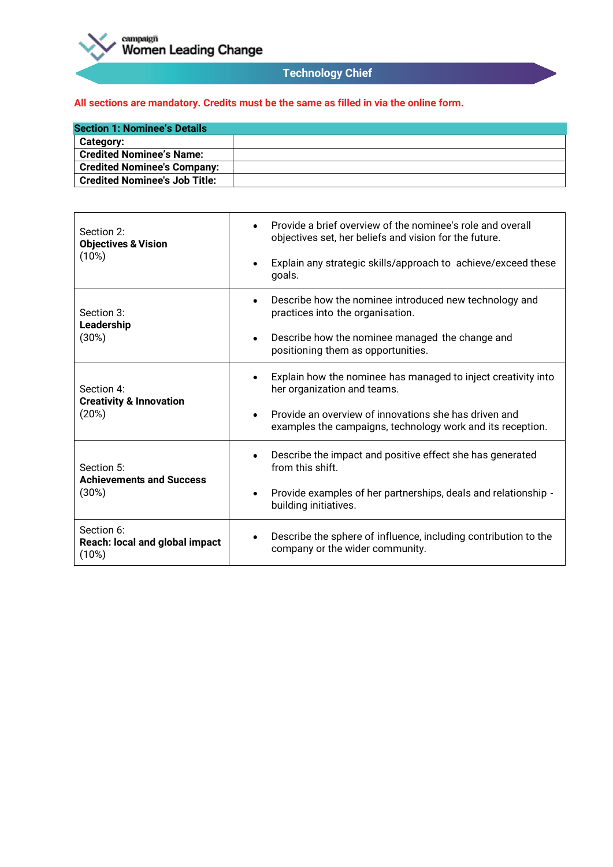

# **Technology Chief**

| <b>Section 1: Nominee's Details</b>  |  |
|--------------------------------------|--|
| <b>Category:</b>                     |  |
| <b>Credited Nominee's Name:</b>      |  |
| <b>Credited Nominee's Company:</b>   |  |
| <b>Credited Nominee's Job Title:</b> |  |

| Section 2:<br><b>Objectives &amp; Vision</b><br>(10%)     | Provide a brief overview of the nominee's role and overall<br>$\bullet$<br>objectives set, her beliefs and vision for the future.<br>Explain any strategic skills/approach to achieve/exceed these<br>$\bullet$<br>goals.        |
|-----------------------------------------------------------|----------------------------------------------------------------------------------------------------------------------------------------------------------------------------------------------------------------------------------|
| Section 3:<br>Leadership<br>(30%)                         | Describe how the nominee introduced new technology and<br>$\bullet$<br>practices into the organisation.<br>Describe how the nominee managed the change and<br>$\bullet$<br>positioning them as opportunities.                    |
| Section 4:<br><b>Creativity &amp; Innovation</b><br>(20%) | Explain how the nominee has managed to inject creativity into<br>her organization and teams.<br>Provide an overview of innovations she has driven and<br>$\bullet$<br>examples the campaigns, technology work and its reception. |
| Section 5:<br><b>Achievements and Success</b><br>(30%)    | Describe the impact and positive effect she has generated<br>$\bullet$<br>from this shift.<br>Provide examples of her partnerships, deals and relationship -<br>$\bullet$<br>building initiatives.                               |
| Section 6:<br>Reach: local and global impact<br>(10%)     | Describe the sphere of influence, including contribution to the<br>company or the wider community.                                                                                                                               |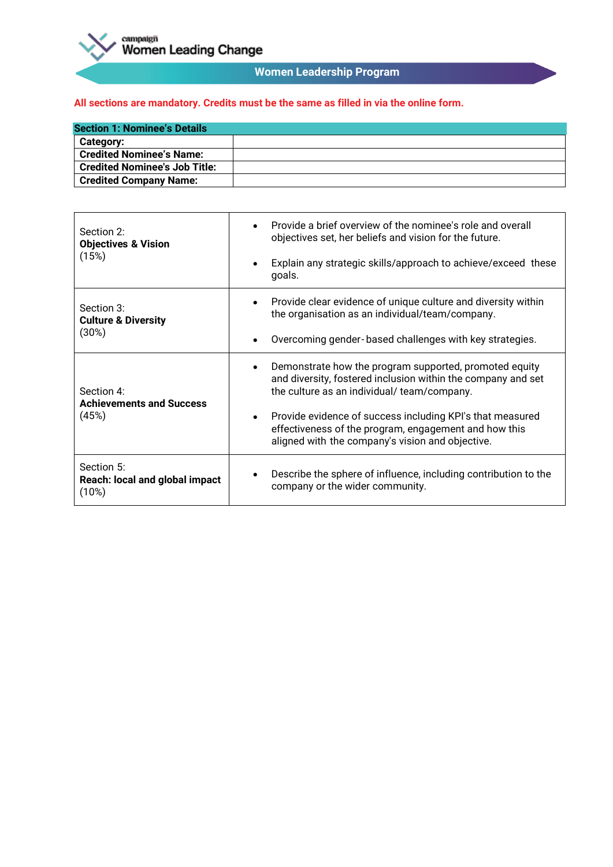

# **Women Leadership Program**

| <b>Section 1: Nominee's Details</b>  |  |
|--------------------------------------|--|
| <b>Category:</b>                     |  |
| <b>Credited Nominee's Name:</b>      |  |
| <b>Credited Nominee's Job Title:</b> |  |
| <b>Credited Company Name:</b>        |  |

| Section 2:<br><b>Objectives &amp; Vision</b><br>(15%)  | Provide a brief overview of the nominee's role and overall<br>$\bullet$<br>objectives set, her beliefs and vision for the future.                                                   |
|--------------------------------------------------------|-------------------------------------------------------------------------------------------------------------------------------------------------------------------------------------|
|                                                        | Explain any strategic skills/approach to achieve/exceed these<br>$\bullet$<br>goals.                                                                                                |
| Section 3:<br><b>Culture &amp; Diversity</b><br>(30%)  | Provide clear evidence of unique culture and diversity within<br>$\bullet$<br>the organisation as an individual/team/company.                                                       |
|                                                        | Overcoming gender-based challenges with key strategies.<br>$\bullet$                                                                                                                |
| Section 4:<br><b>Achievements and Success</b><br>(45%) | Demonstrate how the program supported, promoted equity<br>$\bullet$<br>and diversity, fostered inclusion within the company and set<br>the culture as an individual/team/company.   |
|                                                        | Provide evidence of success including KPI's that measured<br>$\bullet$<br>effectiveness of the program, engagement and how this<br>aligned with the company's vision and objective. |
| Section 5:<br>Reach: local and global impact<br>(10%)  | Describe the sphere of influence, including contribution to the<br>company or the wider community.                                                                                  |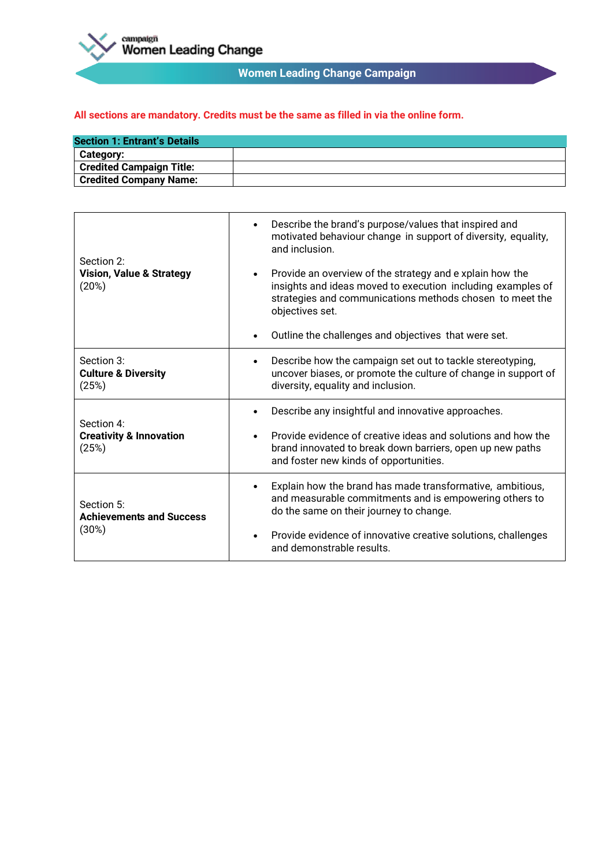

# **Women Leading Change Campaign**

| <b>Section 1: Entrant's Details</b> |  |
|-------------------------------------|--|
| <b>Category:</b>                    |  |
| <b>Credited Campaign Title:</b>     |  |
| <b>Credited Company Name:</b>       |  |

| Section 2:<br><b>Vision, Value &amp; Strategy</b><br>(20%) | Describe the brand's purpose/values that inspired and<br>$\bullet$<br>motivated behaviour change in support of diversity, equality,<br>and inclusion.                                                               |
|------------------------------------------------------------|---------------------------------------------------------------------------------------------------------------------------------------------------------------------------------------------------------------------|
|                                                            | Provide an overview of the strategy and e xplain how the<br>$\bullet$<br>insights and ideas moved to execution including examples of<br>strategies and communications methods chosen to meet the<br>objectives set. |
|                                                            | Outline the challenges and objectives that were set.<br>٠                                                                                                                                                           |
| Section 3:<br><b>Culture &amp; Diversity</b><br>(25%)      | Describe how the campaign set out to tackle stereotyping,<br>٠<br>uncover biases, or promote the culture of change in support of<br>diversity, equality and inclusion.                                              |
| Section 4:                                                 | Describe any insightful and innovative approaches.                                                                                                                                                                  |
| <b>Creativity &amp; Innovation</b><br>(25%)                | Provide evidence of creative ideas and solutions and how the<br>$\bullet$<br>brand innovated to break down barriers, open up new paths<br>and foster new kinds of opportunities.                                    |
| Section 5:<br><b>Achievements and Success</b><br>(30%)     | Explain how the brand has made transformative, ambitious,<br>$\bullet$<br>and measurable commitments and is empowering others to<br>do the same on their journey to change.                                         |
|                                                            | Provide evidence of innovative creative solutions, challenges<br>$\bullet$<br>and demonstrable results.                                                                                                             |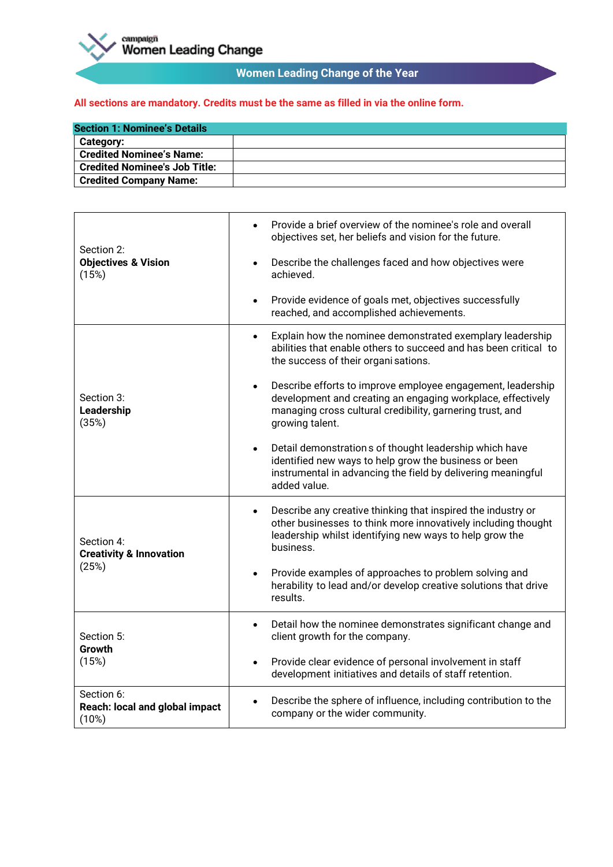

# **Women Leading Change of the Year**

| <b>Section 1: Nominee's Details</b>  |  |
|--------------------------------------|--|
| <b>Category:</b>                     |  |
| <b>Credited Nominee's Name:</b>      |  |
| <b>Credited Nominee's Job Title:</b> |  |
| <b>Credited Company Name:</b>        |  |

| Section 2:<br><b>Objectives &amp; Vision</b><br>(15%)     | Provide a brief overview of the nominee's role and overall<br>objectives set, her beliefs and vision for the future.                                                                                                    |
|-----------------------------------------------------------|-------------------------------------------------------------------------------------------------------------------------------------------------------------------------------------------------------------------------|
|                                                           | Describe the challenges faced and how objectives were<br>$\bullet$<br>achieved.                                                                                                                                         |
|                                                           | Provide evidence of goals met, objectives successfully<br>$\bullet$<br>reached, and accomplished achievements.                                                                                                          |
| Section 3:<br>Leadership<br>(35%)                         | Explain how the nominee demonstrated exemplary leadership<br>$\bullet$<br>abilities that enable others to succeed and has been critical to<br>the success of their organi sations.                                      |
|                                                           | Describe efforts to improve employee engagement, leadership<br>$\bullet$<br>development and creating an engaging workplace, effectively<br>managing cross cultural credibility, garnering trust, and<br>growing talent. |
|                                                           | Detail demonstrations of thought leadership which have<br>$\bullet$<br>identified new ways to help grow the business or been<br>instrumental in advancing the field by delivering meaningful<br>added value.            |
| Section 4:<br><b>Creativity &amp; Innovation</b><br>(25%) | Describe any creative thinking that inspired the industry or<br>$\bullet$<br>other businesses to think more innovatively including thought<br>leadership whilst identifying new ways to help grow the<br>business.      |
|                                                           | Provide examples of approaches to problem solving and<br>$\bullet$<br>herability to lead and/or develop creative solutions that drive<br>results.                                                                       |
| Section 5:<br>Growth<br>(15%)                             | Detail how the nominee demonstrates significant change and<br>٠<br>client growth for the company.                                                                                                                       |
|                                                           | Provide clear evidence of personal involvement in staff<br>$\bullet$<br>development initiatives and details of staff retention.                                                                                         |
| Section 6:<br>Reach: local and global impact<br>(10%)     | Describe the sphere of influence, including contribution to the<br>company or the wider community.                                                                                                                      |